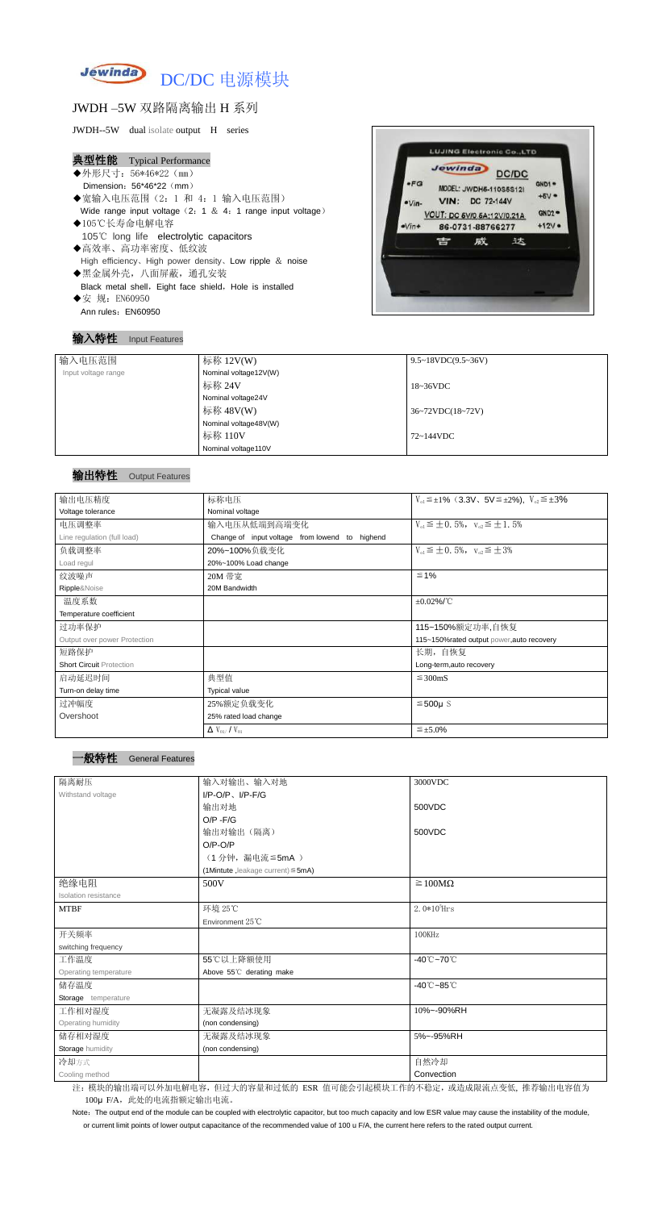

## JWDH –5W 双路隔离输出 H 系列

JWDH--5W dual isolate output H series

#### 典型性能 Typical Performance

- ◆外形尺寸: 56\*46\*22 (mm) Dimension: 56\*46\*22 (mm)
- ◆宽输入电压范围(2:1 和 4: 1 输入电压范围) Wide range input voltage  $(2: 1 \& 4: 1$  range input voltage)
- ◆105℃长寿命电解电容 105℃ long life electrolytic capacitors
- ◆高效率、高功率密度、低纹波 High efficiency、High power density、Low ripple & noise
- ◆黑金属外壳,八面屏蔽,通孔安装 Black metal shell, Eight face shield, Hole is installed ◆安 规: EN60950

Ann rules: EN60950

Note: The output end of the module can be coupled with electrolytic capacitor, but too much capacity and low ESR value may cause the instability of the module, or current limit points of lower output capacitance of the recommended value of 100 u F/A, the current here refers to the rated output current.

输入特性 Input Features



# 输出特性 Output Features

一般特性 General Features

| 输入电压范围              | 标称 12V(W)             | $9.5 \sim 18 VDC(9.5 \sim 36 V)$ |
|---------------------|-----------------------|----------------------------------|
| Input voltage range | Nominal voltage12V(W) |                                  |
|                     | 标称 24V                | $18~36\textrm{VDC}$              |
|                     | Nominal voltage24V    |                                  |
|                     | 标称 48V(W)             | $36~72\t$ VDC $(18~72\t)$        |
|                     | Nominal voltage48V(W) |                                  |
|                     | 标称 110V               | $72 \sim 144$ VDC                |
|                     | Nominal voltage110V   |                                  |

| 输出电压精度                          | 标称电压                                           | $V_{01} \leq \pm 1\%$ (3.3V, 5V $\leq \pm 2\%$ ), $V_{02} \leq \pm 3\%$ |  |  |
|---------------------------------|------------------------------------------------|-------------------------------------------------------------------------|--|--|
| Voltage tolerance               | Nominal voltage                                |                                                                         |  |  |
| 电压调整率                           | 输入电压从低端到高端变化                                   | $V_{01} \leq \pm 0.5\%$ , $V_{02} \leq \pm 1.5\%$                       |  |  |
| Line regulation (full load)     | Change of input voltage from lowend to highend |                                                                         |  |  |
| 负载调整率                           | 20%~100%负载变化                                   | $V_{01} \leq \pm 0.5\%$ , $V_{02} \leq \pm 3\%$                         |  |  |
| Load regul                      | 20%~100% Load change                           |                                                                         |  |  |
| 纹波噪声                            | 20M 带宽                                         | $\leq 1\%$                                                              |  |  |
| Ripple&Noise                    | 20M Bandwidth                                  |                                                                         |  |  |
| 温度系数                            |                                                | $\pm 0.02\%$ /°C                                                        |  |  |
| Temperature coefficient         |                                                |                                                                         |  |  |
| 过功率保护                           |                                                | 115~150%额定功率,自恢复                                                        |  |  |
| Output over power Protection    |                                                | 115~150%rated output power, auto recovery                               |  |  |
| 短路保护                            |                                                | 长期, 自恢复                                                                 |  |  |
| <b>Short Circuit Protection</b> |                                                | Long-term, auto recovery                                                |  |  |
| 启动延迟时间                          | 典型值                                            | $\leq$ 300mS                                                            |  |  |
| Turn-on delay time              | <b>Typical value</b>                           |                                                                         |  |  |
| 过冲幅度                            | 25%额定负载变化                                      | $≤500µ$ S                                                               |  |  |
| Overshoot                       | 25% rated load change                          |                                                                         |  |  |
|                                 | $\Delta$ V <sub>01</sub> /V <sub>01</sub>      | $\leq \pm 5.0\%$                                                        |  |  |

| 隔离耐压                  | 输入对输出、输入对地                              | 3000VDC                         |
|-----------------------|-----------------------------------------|---------------------------------|
| Withstand voltage     | $I/P$ -O/P, $I/P$ -F/G                  |                                 |
|                       | 输出对地                                    | 500VDC                          |
|                       | $O/P - F/G$                             |                                 |
|                       | 输出对输出(隔离)                               | 500VDC                          |
|                       | $O/P-O/P$                               |                                 |
|                       | (1分钟,漏电流≦5mA)                           |                                 |
|                       | (1Mintute, leakage current) $\leq$ 5mA) |                                 |
| 绝缘电阻                  | 500V                                    | $\geq 100M\Omega$               |
| Isolation resistance  |                                         |                                 |
| <b>MTBF</b>           | 环境 25℃                                  | $2.0*105$ Hrs                   |
|                       | Environment $25^{\circ}$ C              |                                 |
| 开关频率                  |                                         | 100KHz                          |
| switching frequency   |                                         |                                 |
| 工作温度                  | 55℃以上降额使用                               | $-40^{\circ}$ C $-70^{\circ}$ C |
| Operating temperature | Above 55°C derating make                |                                 |
| 储存温度                  |                                         | $-40^{\circ}$ C $-85^{\circ}$ C |
| Storage temperature   |                                         |                                 |
| 工作相对湿度                | 无凝露及结冰现象                                | 10%~-90%RH                      |
| Operating humidity    | (non condensing)                        |                                 |
| 储存相对湿度                | 无凝露及结冰现象                                | 5%~-95%RH                       |
| Storage humidity      | (non condensing)                        |                                 |
| 冷却方式                  |                                         | 自然冷却                            |
| Cooling method        |                                         | Convection                      |

注: 模块的输出端可以外加电解电容,但过大的容量和过低的 ESR 值可能会引起模块工作的不稳定, 或造成限流点变低, 推荐输出电容值为 100μ F/A, 此处的电流指额定输出电流。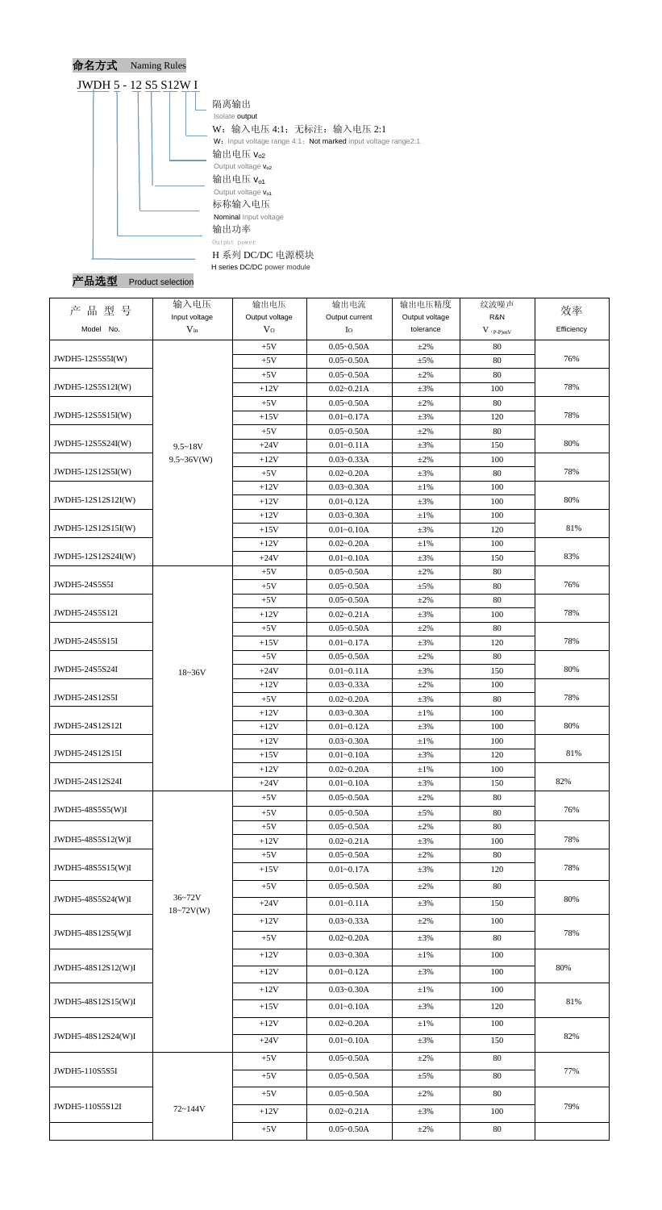

Product selection

| 品型号<br>产           | 输入电压<br>Input voltage | 输出电压<br>Output voltage | 输出电流<br>Output current           | 输出电压精度<br>Output voltage | 纹波噪声<br>R&N                            | 效率         |
|--------------------|-----------------------|------------------------|----------------------------------|--------------------------|----------------------------------------|------------|
| Model No.          | $V_{in}$              | V <sub>O</sub>         | $I_{\rm O}$                      | tolerance                | $V$ $\mathrm{(}p\text{-}p\mathrm{)}mV$ | Efficiency |
|                    |                       | $+5V$                  | $0.05 - 0.50A$                   | $+2\%$                   | 80                                     |            |
| JWDH5-12S5S5I(W)   |                       | $+5V$                  | $0.05 - 0.50A$                   | $\pm$ 5%                 | 80                                     | 76%        |
|                    |                       | $+5V$                  | $0.05 - 0.50A$                   | $+2\%$                   | 80                                     |            |
| JWDH5-12S5S12I(W)  |                       | $+12V$                 | $0.02 - 0.21A$                   | $\pm 3\%$                | 100                                    | 78%        |
|                    |                       | $+5V$                  | $0.05 - 0.50A$                   | $±2\%$                   | 80                                     |            |
| JWDH5-12S5S15I(W)  |                       | $+15V$                 | $0.01 - 0.17A$                   | $\pm 3\%$                | 120                                    | 78%        |
|                    |                       | $+5V$                  | $0.05 - 0.50A$                   | $\pm 2\%$                | 80                                     |            |
| JWDH5-12S5S24I(W)  | $9.5 - 18V$           | $+24V$                 | $0.01 - 0.11A$                   | $\pm 3\%$                | 150                                    | 80%        |
|                    | $9.5 \sim 36V(W)$     | $+12V$                 | $0.03 - 0.33A$                   | $+2\%$                   | 100                                    |            |
| JWDH5-12S12S5I(W)  |                       | $+5V$                  | $0.02 - 0.20A$                   | $\pm 3\%$                | 80                                     | 78%        |
|                    |                       | $+12V$                 | $0.03 - 0.30A$                   | $\pm 1\%$                | 100                                    |            |
| JWDH5-12S12S12I(W) |                       | $+12V$                 | $0.01 - 0.12A$                   | $\pm 3\%$                | 100                                    | 80%        |
|                    |                       | $+12V$                 | $0.03 - 0.30A$                   | $\pm 1\%$                | 100                                    |            |
| JWDH5-12S12S15I(W) |                       | $+15V$                 | $0.01 - 0.10A$                   | $\pm 3\%$                | 120                                    | 81%        |
|                    |                       | $+12V$                 | $0.02 - 0.20A$                   | $\pm1\%$                 | 100                                    | 83%        |
| JWDH5-12S12S24I(W) |                       | $+24V$                 | $0.01 - 0.10A$                   | $\pm 3\%$                | 150                                    |            |
| JWDH5-24S5S5I      |                       | $+5V$                  | $0.05 - 0.50A$                   | $+2\%$                   | 80                                     | 76%        |
|                    |                       | $+5V$<br>$+5V$         | $0.05 - 0.50A$<br>$0.05 - 0.50A$ | $\pm$ 5%                 | 80<br>80                               |            |
| JWDH5-24S5S12I     |                       | $+12V$                 | $0.02 - 0.21A$                   | $\pm 2\%$<br>$\pm 3\%$   | 100                                    | 78%        |
|                    |                       | $+5V$                  | $0.05 - 0.50A$                   | $+2\%$                   | 80                                     |            |
| JWDH5-24S5S15I     |                       | $+15V$                 | $0.01 - 0.17A$                   | $\pm 3\%$                | 120                                    | 78%        |
|                    |                       | $+5V$                  | $0.05 - 0.50A$                   | $\pm 2\%$                | 80                                     |            |
| JWDH5-24S5S24I     |                       | $+24V$                 | $0.01 - 0.11A$                   | $\pm 3\%$                | 150                                    | 80%        |
|                    | $18 - 36V$            | $+12V$                 | $0.03 - 0.33A$                   | $±2\%$                   | 100                                    |            |
| JWDH5-24S12S5I     |                       | $+5V$                  | $0.02 - 0.20A$                   | $\pm 3\%$                | 80                                     | 78%        |
|                    |                       | $+12V$                 | $0.03 - 0.30A$                   | $\pm1\%$                 | 100                                    |            |
| JWDH5-24S12S12I    |                       | $+12V$                 | $0.01 - 0.12A$                   | $\pm 3\%$                | 100                                    | 80%        |
|                    |                       | $+12V$                 | $0.03 - 0.30A$                   | $\pm1\%$                 | 100                                    |            |
| JWDH5-24S12S15I    |                       | $+15V$                 | $0.01 - 0.10A$                   | $\pm 3\%$                | 120                                    | 81%        |
|                    |                       | $+12V$                 | $0.02 - 0.20A$                   | $\pm1\%$                 | 100                                    |            |
| JWDH5-24S12S24I    |                       | $+24V$                 | $0.01 - 0.10A$                   | $\pm 3\%$                | 150                                    | 82%        |
|                    |                       | $+5V$                  | $0.05 - 0.50A$                   | $\pm 2\%$                | 80                                     |            |
| JWDH5-48S5S5(W)I   |                       | $+5V$                  | $0.05 - 0.50A$                   | $\pm$ 5%                 | 80                                     | 76%        |
|                    |                       | $+5V$                  | $0.05 - 0.50A$                   | $\pm 2\%$                | 80                                     |            |
| JWDH5-48S5S12(W)I  |                       | $+12V$                 | $0.02 - 0.21A$                   | $\pm 3\%$                | 100                                    | 78%        |
|                    |                       | $+5V$                  | $0.05 - 0.50A$                   | $\pm 2\%$                | 80                                     |            |
| JWDH5-48S5S15(W)I  |                       | $+15V$                 | $0.01 - 0.17A$                   | $\pm 3\%$                | 120                                    | 78%        |
|                    |                       | $+5V$                  | $0.05 - 0.50A$                   | $\pm 2\%$                | 80                                     |            |
| JWDH5-48S5S24(W)I  | $36 - 72V$            | $+24V$                 | $0.01 - 0.11A$                   | $\pm 3\%$                | 150                                    | 80%        |
|                    | $18 - 72V(W)$         | $+12V$                 | $0.03 - 0.33A$                   | $\pm 2\%$                | 100                                    |            |
| JWDH5-48S12S5(W)I  |                       |                        |                                  |                          |                                        | 78%        |
|                    |                       | $+5V$                  | $0.02 - 0.20A$                   | $\pm 3\%$                | 80                                     |            |
|                    |                       | $+12V$                 | $0.03 - 0.30A$                   | $\pm1\%$                 | 100                                    |            |
| JWDH5-48S12S12(W)I |                       | $+12V$                 | $0.01 - 0.12A$                   | $\pm 3\%$                | 100                                    | 80%        |
|                    |                       | $+12V$                 | $0.03 - 0.30A$                   | $\pm1\%$                 | 100                                    |            |
| JWDH5-48S12S15(W)I |                       | $+15V$                 | $0.01 - 0.10A$                   | $\pm 3\%$                | 120                                    | 81%        |
|                    |                       | $+12V$                 | $0.02 - 0.20A$                   | $\pm1\%$                 | 100                                    |            |
| JWDH5-48S12S24(W)I |                       |                        |                                  |                          |                                        | 82%        |
|                    |                       | $+24V$                 | $0.01 - 0.10A$                   | $\pm 3\%$                | 150                                    |            |
|                    |                       | $+5V$                  | $0.05 - 0.50A$                   | $\pm 2\%$                | 80                                     |            |
| JWDH5-110S5S5I     |                       | $+5V$                  | $0.05 - 0.50A$                   | $\pm$ 5%                 | 80                                     | 77%        |
|                    |                       | $+5V$                  | $0.05 - 0.50A$                   | $\pm 2\%$                | 80                                     |            |
| JWDH5-110S5S12I    | 72~144V               |                        |                                  |                          | 100                                    | 79%        |
|                    |                       | $+12V$                 | $0.02 - 0.21A$                   | $\pm 3\%$                |                                        |            |
|                    |                       | $+5V$                  | $0.05 - 0.50A$                   | $\pm 2\%$                | 80                                     |            |